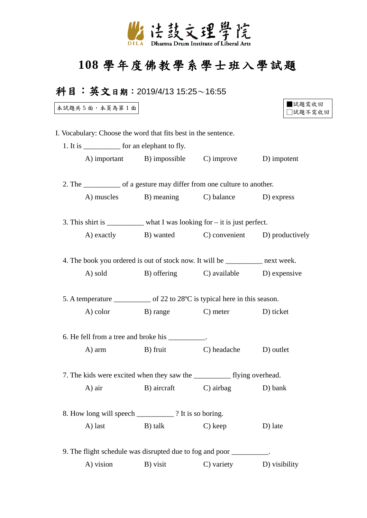

## **108** 學年度佛教學系學士班入學試題

## 科目:英文日期:2019/4/13 15:25〜16:55

本試題共 5 面,本頁為第 1 面

| 試題需收回   |
|---------|
| □試題不需收回 |

I. Vocabulary: Choose the word that fits best in the sentence.

|         | 1. It is _______________ for an elephant to fly.                              |                                       |  |
|---------|-------------------------------------------------------------------------------|---------------------------------------|--|
|         | A) important B) impossible C) improve D) impotent                             |                                       |  |
|         | 2. The _____________ of a gesture may differ from one culture to another.     |                                       |  |
|         | A) muscles B) meaning C) balance D) express                                   |                                       |  |
|         | 3. This shirt is _________ what I was looking for – it is just perfect.       |                                       |  |
|         | A) exactly B) wanted C) convenient D) productively                            |                                       |  |
|         | 4. The book you ordered is out of stock now. It will be __________ next week. |                                       |  |
| A) sold |                                                                               | B) offering C) available D) expensive |  |
|         | 5. A temperature ____________ of 22 to 28°C is typical here in this season.   |                                       |  |
|         | A) color B) range C) meter D) ticket                                          |                                       |  |
|         | 6. He fell from a tree and broke his __________.                              |                                       |  |
| A) arm  | B) fruit                                                                      | C) headache D) outlet                 |  |
|         | 7. The kids were excited when they saw the ___________ flying overhead.       |                                       |  |
|         |                                                                               |                                       |  |
| A) air  |                                                                               | B) aircraft C) airbag D) bank         |  |
|         | 8. How long will speech ____________? It is so boring.                        |                                       |  |

A) vision B) visit C) variety D) visibility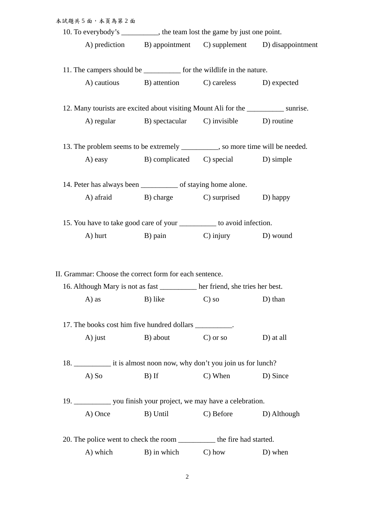|                                                                       | 本試題共5面,本頁為第2面 |                                                                                      |                       |                                                              |
|-----------------------------------------------------------------------|---------------|--------------------------------------------------------------------------------------|-----------------------|--------------------------------------------------------------|
|                                                                       |               | 10. To everybody's _________, the team lost the game by just one point.              |                       |                                                              |
|                                                                       |               |                                                                                      |                       | A) prediction B) appointment C) supplement D) disappointment |
|                                                                       |               | 11. The campers should be _____________ for the wildlife in the nature.              |                       |                                                              |
|                                                                       |               | A) cautious B) attention C) careless D) expected                                     |                       |                                                              |
|                                                                       |               | 12. Many tourists are excited about visiting Mount Ali for the ____________ sunrise. |                       |                                                              |
|                                                                       |               | A) regular B) spectacular C) invisible D) routine                                    |                       |                                                              |
|                                                                       |               | 13. The problem seems to be extremely _________, so more time will be needed.        |                       |                                                              |
|                                                                       |               | A) easy B) complicated C) special D) simple                                          |                       |                                                              |
|                                                                       |               | 14. Peter has always been ____________ of staying home alone.                        |                       |                                                              |
|                                                                       |               | A) afraid B) charge C) surprised D) happy                                            |                       |                                                              |
|                                                                       |               | 15. You have to take good care of your __________ to avoid infection.                |                       |                                                              |
|                                                                       |               | A) hurt B) pain C) injury D) wound                                                   |                       |                                                              |
|                                                                       |               |                                                                                      |                       |                                                              |
|                                                                       |               | II. Grammar: Choose the correct form for each sentence.                              |                       |                                                              |
|                                                                       |               | 16. Although Mary is not as fast ________ her friend, she tries her best.            |                       |                                                              |
|                                                                       | A) as         | B) like                                                                              | $C$ ) so              | $D)$ than                                                    |
|                                                                       |               | 17. The books cost him five hundred dollars __________.                              |                       |                                                              |
|                                                                       | $A)$ just     | B) about                                                                             | $C$ ) or so           | D) at all                                                    |
|                                                                       |               |                                                                                      |                       |                                                              |
|                                                                       | $A)$ So       | $B)$ If                                                                              | $C)$ When             | D) Since                                                     |
| 19. _____________ you finish your project, we may have a celebration. |               |                                                                                      |                       |                                                              |
|                                                                       | A) Once       | B) Until                                                                             | C) Before D) Although |                                                              |
|                                                                       |               | 20. The police went to check the room ____________ the fire had started.             |                       |                                                              |
|                                                                       | A) which      | B) in which C) how                                                                   |                       | D) when                                                      |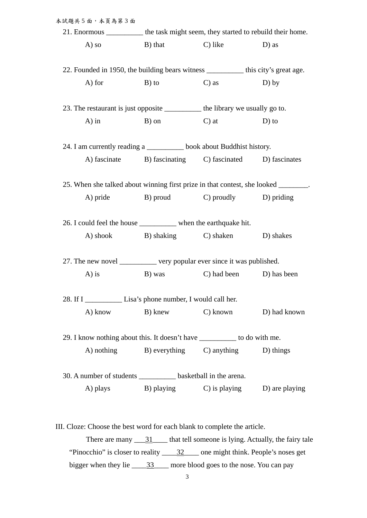| 本試題共5面,本頁為第3面 |                                                                                     |                        |                                                                                    |  |  |
|---------------|-------------------------------------------------------------------------------------|------------------------|------------------------------------------------------------------------------------|--|--|
|               | 21. Enormous ___________ the task might seem, they started to rebuild their home.   |                        |                                                                                    |  |  |
| A) so         | B) that                                                                             | C) like                | D) as                                                                              |  |  |
|               |                                                                                     |                        |                                                                                    |  |  |
|               | 22. Founded in 1950, the building bears witness _________ this city's great age.    |                        |                                                                                    |  |  |
| $A)$ for      | B) to                                                                               | $C$ ) as               | $D)$ by                                                                            |  |  |
|               | 23. The restaurant is just opposite ____________ the library we usually go to.      |                        |                                                                                    |  |  |
| $A)$ in       | B) on                                                                               | $\Box$ at $\Box$ D) to |                                                                                    |  |  |
|               | 24. I am currently reading a _________ book about Buddhist history.                 |                        |                                                                                    |  |  |
|               | A) fascinate B) fascinating C) fascinated D) fascinates                             |                        |                                                                                    |  |  |
|               | 25. When she talked about winning first prize in that contest, she looked _______.  |                        |                                                                                    |  |  |
| A) pride      | B) proud C) proudly D) priding                                                      |                        |                                                                                    |  |  |
|               |                                                                                     |                        |                                                                                    |  |  |
|               | 26. I could feel the house _____________ when the earthquake hit.                   |                        |                                                                                    |  |  |
|               | A) shook B) shaking C) shaken D) shakes                                             |                        |                                                                                    |  |  |
|               | 27. The new novel ___________ very popular ever since it was published.             |                        |                                                                                    |  |  |
| $A)$ is       | B) was C) had been D) has been                                                      |                        |                                                                                    |  |  |
|               | 28. If I Lisa's phone number, I would call her.                                     |                        |                                                                                    |  |  |
|               | A) know B) know C) known D) had known                                               |                        |                                                                                    |  |  |
|               | 29. I know nothing about this. It doesn't have __________ to do with me.            |                        |                                                                                    |  |  |
|               | A) nothing B) everything C) anything D) things                                      |                        |                                                                                    |  |  |
|               |                                                                                     |                        |                                                                                    |  |  |
|               | 30. A number of students ____________ basketball in the arena.                      |                        |                                                                                    |  |  |
|               | A) plays B) playing C) is playing D) are playing                                    |                        |                                                                                    |  |  |
|               |                                                                                     |                        |                                                                                    |  |  |
|               | III. Cloze: Choose the best word for each blank to complete the article.            |                        |                                                                                    |  |  |
|               |                                                                                     |                        | There are many $\frac{31}{1}$ that tell someone is lying. Actually, the fairy tale |  |  |
|               | "Pinocchio" is closer to reality $\frac{32}{2}$ one might think. People's noses get |                        |                                                                                    |  |  |
|               | bigger when they lie _____33____ more blood goes to the nose. You can pay           |                        |                                                                                    |  |  |

3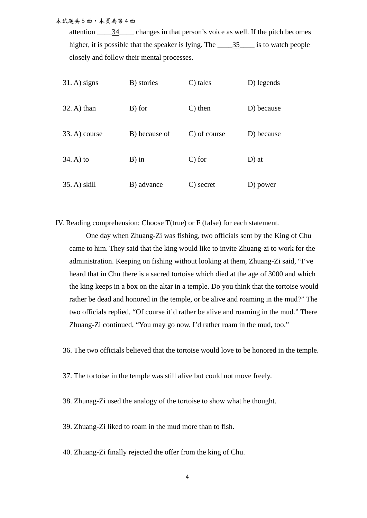本試題共 5 面,本頁為第 4 面

attention  $\frac{34}{2}$  changes in that person's voice as well. If the pitch becomes higher, it is possible that the speaker is lying. The \_\_\_\_\_35\_\_\_\_\_ is to watch people closely and follow their mental processes.

| $31.$ A) signs | B) stories    | $C$ ) tales  | D) legends |
|----------------|---------------|--------------|------------|
| $32. A)$ than  | B) for        | $C$ ) then   | D) because |
| 33. A) course  | B) because of | C) of course | D) because |
| $34. A)$ to    | $B)$ in       | $C$ ) for    | $D$ ) at   |
| 35. A) skill   | B) advance    | C) secret    | D) power   |

IV. Reading comprehension: Choose T(true) or F (false) for each statement.

One day when Zhuang-Zi was fishing, two officials sent by the King of Chu came to him. They said that the king would like to invite Zhuang-zi to work for the administration. Keeping on fishing without looking at them, Zhuang-Zi said, "I've heard that in Chu there is a sacred tortoise which died at the age of 3000 and which the king keeps in a box on the altar in a temple. Do you think that the tortoise would rather be dead and honored in the temple, or be alive and roaming in the mud?" The two officials replied, "Of course it'd rather be alive and roaming in the mud." There Zhuang-Zi continued, "You may go now. I'd rather roam in the mud, too."

36. The two officials believed that the tortoise would love to be honored in the temple.

37. The tortoise in the temple was still alive but could not move freely.

38. Zhunag-Zi used the analogy of the tortoise to show what he thought.

39. Zhuang-Zi liked to roam in the mud more than to fish.

40. Zhuang-Zi finally rejected the offer from the king of Chu.